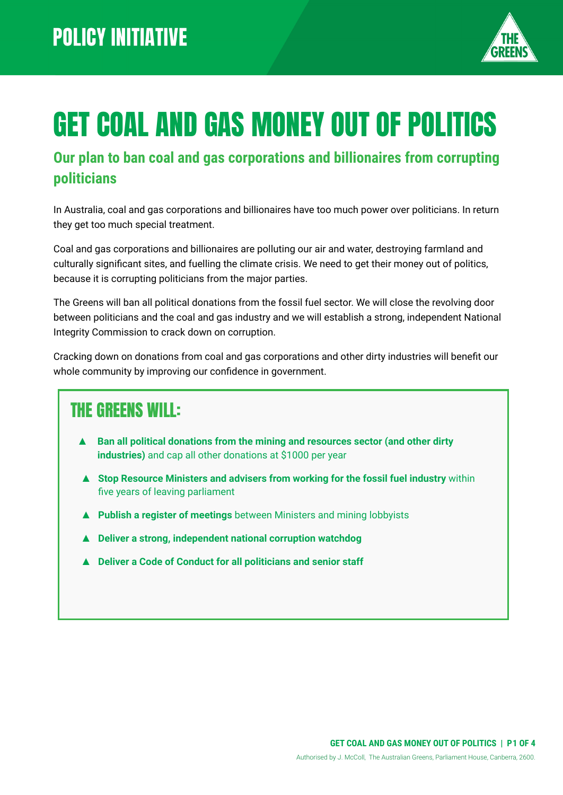

# GET COAL AND GAS MONEY OUT OF POLITICS

#### **Our plan to ban coal and gas corporations and billionaires from corrupting politicians**

In Australia, coal and gas corporations and billionaires have too much power over politicians. In return they get too much special treatment.

Coal and gas corporations and billionaires are polluting our air and water, destroying farmland and culturally significant sites, and fuelling the climate crisis. We need to get their money out of politics, because it is corrupting politicians from the major parties.

The Greens will ban all political donations from the fossil fuel sector. We will close the revolving door between politicians and the coal and gas industry and we will establish a strong, independent National Integrity Commission to crack down on corruption.

Cracking down on donations from coal and gas corporations and other dirty industries will benefit our whole community by improving our confidence in government.

#### THE GREENS WILL:

- **Ban all political donations from the mining and resources sector (and other dirty industries)** and cap all other donations at \$1000 per year
- ▲ **Stop Resource Ministers and advisers from working for the fossil fuel industry** within five years of leaving parliament
- ▲ **Publish a register of meetings** between Ministers and mining lobbyists
- **▲ Deliver a strong, independent national corruption watchdog**
- **▲ Deliver a Code of Conduct for all politicians and senior staff**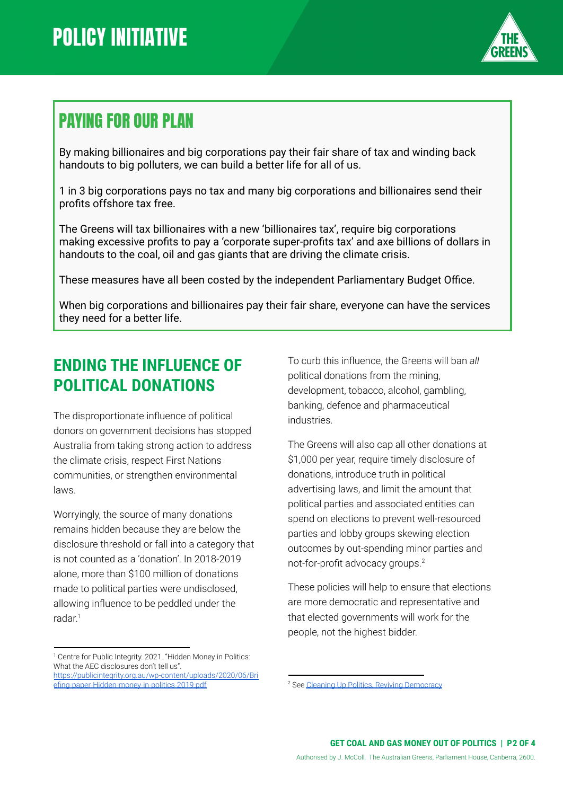

### PAYING FOR OUR PLAN

By making billionaires and big corporations pay their fair share of tax and winding back handouts to big polluters, we can build a better life for all of us.

1 in 3 big corporations pays no tax and many big corporations and billionaires send their profits offshore tax free.

The Greens will tax billionaires with a new 'billionaires tax', require big corporations making excessive profits to pay a 'corporate super-profits tax' and axe billions of dollars in handouts to the coal, oil and gas giants that are driving the climate crisis.

These measures have all been costed by the independent Parliamentary Budget Office.

When big corporations and billionaires pay their fair share, everyone can have the services they need for a better life.

#### **ENDING THE INFLUENCE OF POLITICAL DONATIONS**

The disproportionate influence of political donors on government decisions has stopped Australia from taking strong action to address the climate crisis, respect First Nations communities, or strengthen environmental laws.

Worryingly, the source of many donations remains hidden because they are below the disclosure threshold or fall into a category that is not counted as a 'donation'. In 2018-2019 alone, more than \$100 million of donations made to political parties were undisclosed, allowing influence to be peddled under the radar. 1

<sup>1</sup> Centre for Public Integrity. 2021. "Hidden Money in Politics: What the AEC disclosures don't tell us". [https://publicintegrity.org.au/wp-content/uploads/2020/06/Bri](https://publicintegrity.org.au/wp-content/uploads/2020/06/Briefing-paper-Hidden-money-in-politics-2019.pdf)

To curb this influence, the Greens will ban *all* political donations from the mining, development, tobacco, alcohol, gambling, banking, defence and pharmaceutical industries.

The Greens will also cap all other donations at \$1,000 per year, require timely disclosure of donations, introduce truth in political advertising laws, and limit the amount that political parties and associated entities can spend on elections to prevent well-resourced parties and lobby groups skewing election outcomes by out-spending minor parties and not-for-profit advocacy groups.<sup>2</sup>

These policies will help to ensure that elections are more democratic and representative and that elected governments will work for the people, not the highest bidder.

[efing-paper-Hidden-money-in-politics-2019.pdf](https://publicintegrity.org.au/wp-content/uploads/2020/06/Briefing-paper-Hidden-money-in-politics-2019.pdf)

<sup>&</sup>lt;sup>2</sup> See Cleaning Up Politics, Reviving [Democracy](https://greens.org.au/campaigns/clean-politics)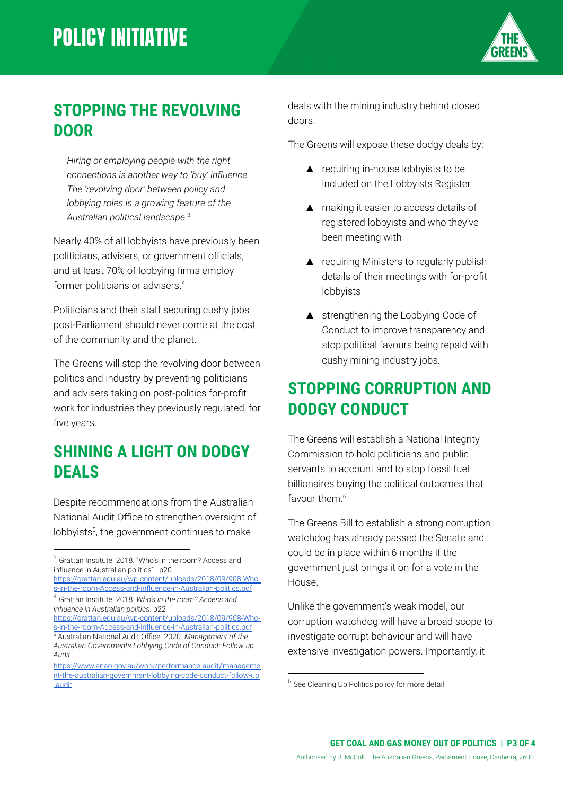## **POLICY INITIATIVE**



#### **STOPPING THE REVOLVING DOOR**

*Hiring or employing people with the right connections is another way to 'buy' influence. The 'revolving door' between policy and lobbying roles is a growing feature of the Australian political landscape.* 3

Nearly 40% of all lobbyists have previously been politicians, advisers, or government officials, and at least 70% of lobbying firms employ former politicians or advisers.<sup>4</sup>

Politicians and their staff securing cushy jobs post-Parliament should never come at the cost of the community and the planet.

The Greens will stop the revolving door between politics and industry by preventing politicians and advisers taking on post-politics for-profit work for industries they previously regulated, for five years.

#### **SHINING A LIGHT ON DODGY DEALS**

Despite recommendations from the Australian National Audit Office to strengthen oversight of lobbyists<sup>5</sup>, the government continues to make

[https://grattan.edu.au/wp-content/uploads/2018/09/908-Who](https://grattan.edu.au/wp-content/uploads/2018/09/908-Who-s-in-the-room-Access-and-influence-in-Australian-politics.pdf)[s-in-the-room-Access-and-influence-in-Australian-politics.pdf](https://grattan.edu.au/wp-content/uploads/2018/09/908-Who-s-in-the-room-Access-and-influence-in-Australian-politics.pdf)

<sup>5</sup> Australian National Audit Office. 2020. *Management of the Australian Governments Lobbying Code of Conduct: Follow-up Audit* [https://grattan.edu.au/wp-content/uploads/2018/09/908-Who](https://grattan.edu.au/wp-content/uploads/2018/09/908-Who-s-in-the-room-Access-and-influence-in-Australian-politics.pdf)[s-in-the-room-Access-and-influence-in-Australian-politics.pdf](https://grattan.edu.au/wp-content/uploads/2018/09/908-Who-s-in-the-room-Access-and-influence-in-Australian-politics.pdf)

deals with the mining industry behind closed doors.

The Greens will expose these dodgy deals by:

- ▲ requiring in-house lobbyists to be included on the Lobbyists Register
- ▲ making it easier to access details of registered lobbyists and who they've been meeting with
- ▲ requiring Ministers to regularly publish details of their meetings with for-profit lobbyists
- ▲ strengthening the Lobbying Code of Conduct to improve transparency and stop political favours being repaid with cushy mining industry jobs.

#### **STOPPING CORRUPTION AND DODGY CONDUCT**

The Greens will establish a National Integrity Commission to hold politicians and public servants to account and to stop fossil fuel billionaires buying the political outcomes that favour them.<sup>6</sup>

The Greens Bill to establish a strong corruption watchdog has already passed the Senate and could be in place within 6 months if the government just brings it on for a vote in the House.

Unlike the government's weak model, our corruption watchdog will have a broad scope to investigate corrupt behaviour and will have extensive investigation powers. Importantly, it

<sup>3</sup> Grattan Institute. 2018. "Who's in the room? Access and influence in Australian politics". p20

<sup>4</sup> Grattan Institute. 2018. *Who's in the room? Access and influence in Australian politics*. p22

[https://www.anao.gov.au/work/performance-audit](https://www.anao.gov.au/work/performance-audit/management-the-australian-government-lobbying-code-conduct-follow-up-audit)/manageme [nt-the-australian-government-lobbying-code-conduct-follow-up](https://www.anao.gov.au/work/performance-audit/management-the-australian-government-lobbying-code-conduct-follow-up-audit) [-audit](https://www.anao.gov.au/work/performance-audit/management-the-australian-government-lobbying-code-conduct-follow-up-audit)

<sup>&</sup>lt;sup>6</sup> See Cleaning Up Politics policy for more detail